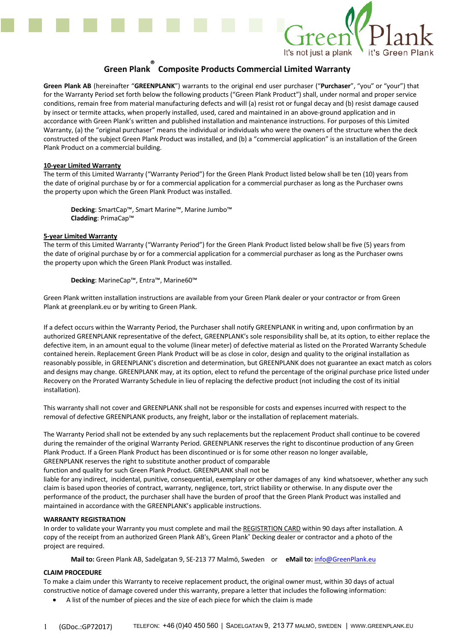

# **Green Plank ® Composite Products Commercial Limited Warranty**

**Green Plank AB** (hereinafter "**GREENPLANK**") warrants to the original end user purchaser ("**Purchaser**", "you" or "your") that for the Warranty Period set forth below the following products ("Green Plank Product") shall, under normal and proper service conditions, remain free from material manufacturing defects and will (a) resist rot or fungal decay and (b) resist damage caused by insect or termite attacks, when properly installed, used, cared and maintained in an above-ground application and in accordance with Green Plank's written and published installation and maintenance instructions. For purposes of this Limited Warranty, (a) the "original purchaser" means the individual or individuals who were the owners of the structure when the deck constructed of the subject Green Plank Product was installed, and (b) a "commercial application" is an installation of the Green Plank Product on a commercial building.

### **10-year Limited Warranty**

The term of this Limited Warranty ("Warranty Period") for the Green Plank Product listed below shall be ten (10) years from the date of original purchase by or for a commercial application for a commercial purchaser as long as the Purchaser owns the property upon which the Green Plank Product was installed.

**Decking**: SmartCap™, Smart Marine™, Marine Jumbo™ **Cladding**: PrimaCap™

### **5-year Limited Warranty**

The term of this Limited Warranty ("Warranty Period") for the Green Plank Product listed below shall be five (5) years from the date of original purchase by or for a commercial application for a commercial purchaser as long as the Purchaser owns the property upon which the Green Plank Product was installed.

**Decking**: MarineCap™, Entra™, Marine60™

Green Plank written installation instructions are available from your Green Plank dealer or your contractor or from Green Plank at greenplank.eu or by writing to Green Plank.

If a defect occurs within the Warranty Period, the Purchaser shall notify GREENPLANK in writing and, upon confirmation by an authorized GREENPLANK representative of the defect, GREENPLANK's sole responsibility shall be, at its option, to either replace the defective item, in an amount equal to the volume (linear meter) of defective material as listed on the Prorated Warranty Schedule contained herein. Replacement Green Plank Product will be as close in color, design and quality to the original installation as reasonably possible, in GREENPLANK's discretion and determination, but GREENPLANK does not guarantee an exact match as colors and designs may change. GREENPLANK may, at its option, elect to refund the percentage of the original purchase price listed under Recovery on the Prorated Warranty Schedule in lieu of replacing the defective product (not including the cost of its initial installation).

This warranty shall not cover and GREENPLANK shall not be responsible for costs and expenses incurred with respect to the removal of defective GREENPLANK products, any freight, labor or the installation of replacement materials.

The Warranty Period shall not be extended by any such replacements but the replacement Product shall continue to be covered during the remainder of the original Warranty Period. GREENPLANK reserves the right to discontinue production of any Green Plank Product. If a Green Plank Product has been discontinued or is for some other reason no longer available, GREENPLANK reserves the right to substitute another product of comparable

function and quality for such Green Plank Product. GREENPLANK shall not be

liable for any indirect, incidental, punitive, consequential, exemplary or other damages of any kind whatsoever, whether any such claim is based upon theories of contract, warranty, negligence, tort, strict liability or otherwise. In any dispute over the performance of the product, the purchaser shall have the burden of proof that the Green Plank Product was installed and maintained in accordance with the GREENPLANK's applicable instructions.

### **WARRANTY REGISTRATION**

In order to validate your Warranty you must complete and mail the REGISTRTION CARD within 90 days after installation. A copy of the receipt from an authorized Green Plank AB's, Green Plank® Decking dealer or contractor and a photo of the project are required.

**Mail to:** Green Plank AB, Sadelgatan 9, SE-213 77 Malmö, Sweden or **eMail to:** info@GreenPlank.eu

## **CLAIM PROCEDURE**

To make a claim under this Warranty to receive replacement product, the original owner must, within 30 days of actual constructive notice of damage covered under this warranty, prepare a letter that includes the following information:

• A list of the number of pieces and the size of each piece for which the claim is made